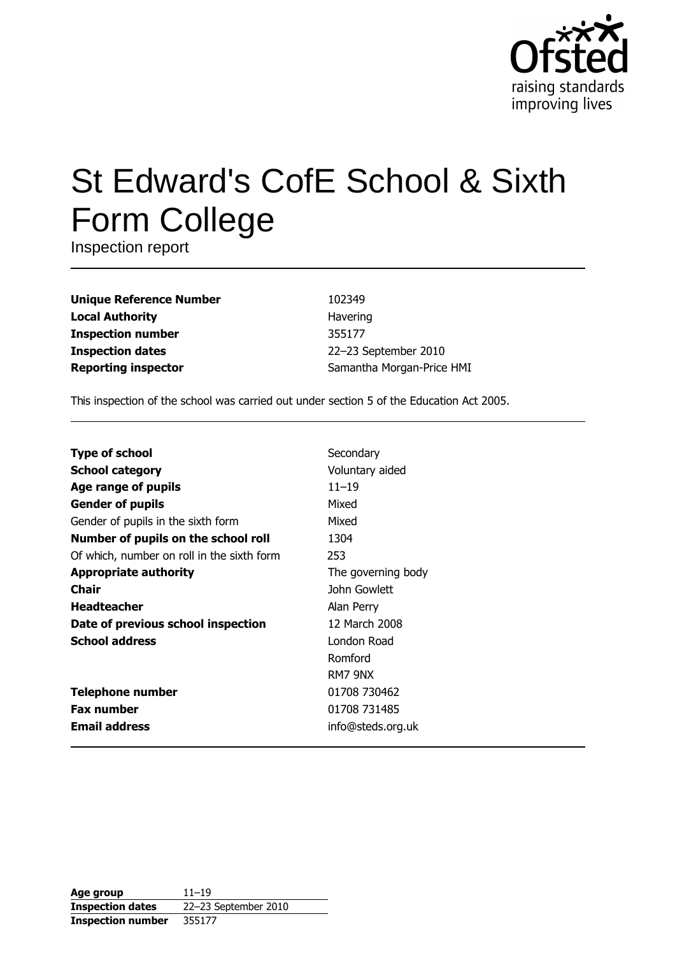

# **St Edward's CofE School & Sixth Form College**

Inspection report

**Unique Reference Number Local Authority Inspection number Inspection dates Reporting inspector** 

102349 Havering 355177 22-23 September 2010 Samantha Morgan-Price HMI

This inspection of the school was carried out under section 5 of the Education Act 2005.

| <b>Type of school</b>                      | Secondary          |
|--------------------------------------------|--------------------|
| <b>School category</b>                     | Voluntary aided    |
| Age range of pupils                        | $11 - 19$          |
| <b>Gender of pupils</b>                    | Mixed              |
| Gender of pupils in the sixth form         | Mixed              |
| Number of pupils on the school roll        | 1304               |
| Of which, number on roll in the sixth form | 253                |
| <b>Appropriate authority</b>               | The governing body |
| Chair                                      | John Gowlett       |
| <b>Headteacher</b>                         | Alan Perry         |
| Date of previous school inspection         | 12 March 2008      |
| <b>School address</b>                      | London Road        |
|                                            | Romford            |
|                                            | RM7 9NX            |
| <b>Telephone number</b>                    | 01708 730462       |
| <b>Fax number</b>                          | 01708 731485       |
| <b>Email address</b>                       | info@steds.org.uk  |

| Age group                | $11 - 19$            |
|--------------------------|----------------------|
| <b>Inspection dates</b>  | 22-23 September 2010 |
| <b>Inspection number</b> | 355177               |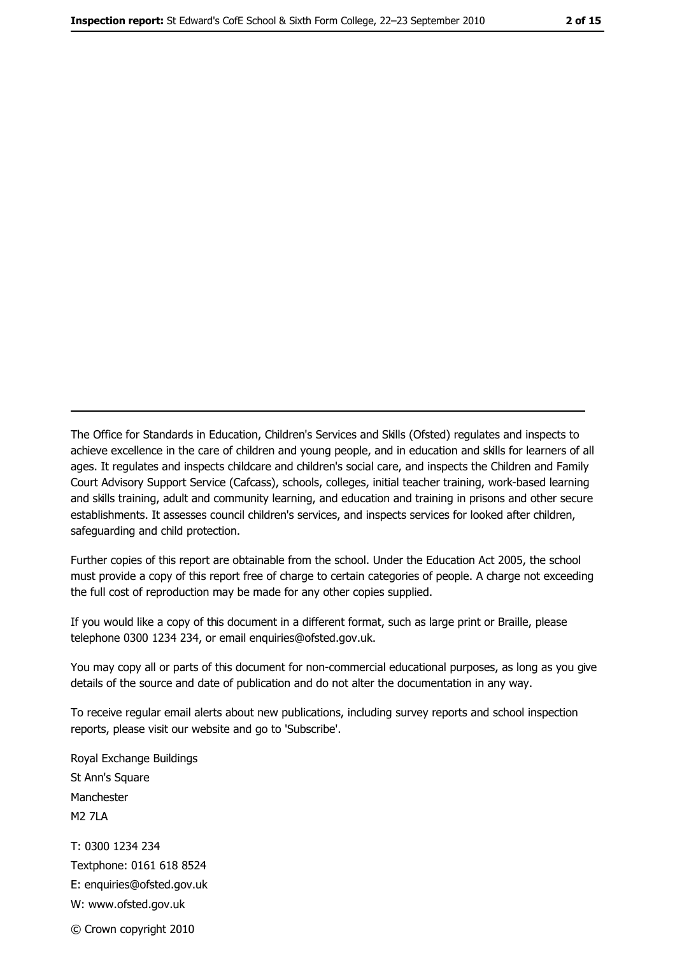The Office for Standards in Education, Children's Services and Skills (Ofsted) regulates and inspects to achieve excellence in the care of children and young people, and in education and skills for learners of all ages. It regulates and inspects childcare and children's social care, and inspects the Children and Family Court Advisory Support Service (Cafcass), schools, colleges, initial teacher training, work-based learning and skills training, adult and community learning, and education and training in prisons and other secure establishments. It assesses council children's services, and inspects services for looked after children, safeguarding and child protection.

Further copies of this report are obtainable from the school. Under the Education Act 2005, the school must provide a copy of this report free of charge to certain categories of people. A charge not exceeding the full cost of reproduction may be made for any other copies supplied.

If you would like a copy of this document in a different format, such as large print or Braille, please telephone 0300 1234 234, or email enquiries@ofsted.gov.uk.

You may copy all or parts of this document for non-commercial educational purposes, as long as you give details of the source and date of publication and do not alter the documentation in any way.

To receive regular email alerts about new publications, including survey reports and school inspection reports, please visit our website and go to 'Subscribe'.

Royal Exchange Buildings St Ann's Square Manchester **M2 7I A** T: 0300 1234 234 Textphone: 0161 618 8524 E: enquiries@ofsted.gov.uk W: www.ofsted.gov.uk © Crown copyright 2010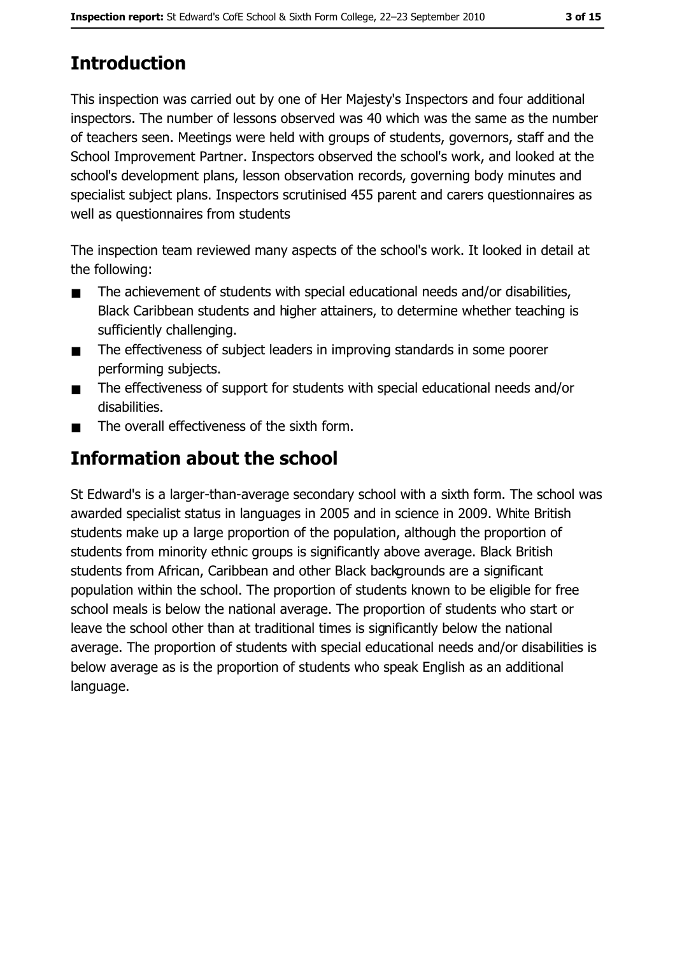# 3 of 15

# **Introduction**

This inspection was carried out by one of Her Majesty's Inspectors and four additional inspectors. The number of lessons observed was 40 which was the same as the number of teachers seen. Meetings were held with groups of students, governors, staff and the School Improvement Partner. Inspectors observed the school's work, and looked at the school's development plans, lesson observation records, governing body minutes and specialist subject plans. Inspectors scrutinised 455 parent and carers questionnaires as well as questionnaires from students

The inspection team reviewed many aspects of the school's work. It looked in detail at the following:

- The achievement of students with special educational needs and/or disabilities,  $\blacksquare$ Black Caribbean students and higher attainers, to determine whether teaching is sufficiently challenging.
- The effectiveness of subject leaders in improving standards in some poorer  $\blacksquare$ performing subjects.
- The effectiveness of support for students with special educational needs and/or  $\blacksquare$ disabilities.
- The overall effectiveness of the sixth form.  $\blacksquare$

# Information about the school

St Edward's is a larger-than-average secondary school with a sixth form. The school was awarded specialist status in languages in 2005 and in science in 2009. White British students make up a large proportion of the population, although the proportion of students from minority ethnic groups is significantly above average. Black British students from African, Caribbean and other Black backgrounds are a significant population within the school. The proportion of students known to be eligible for free school meals is below the national average. The proportion of students who start or leave the school other than at traditional times is significantly below the national average. The proportion of students with special educational needs and/or disabilities is below average as is the proportion of students who speak English as an additional language.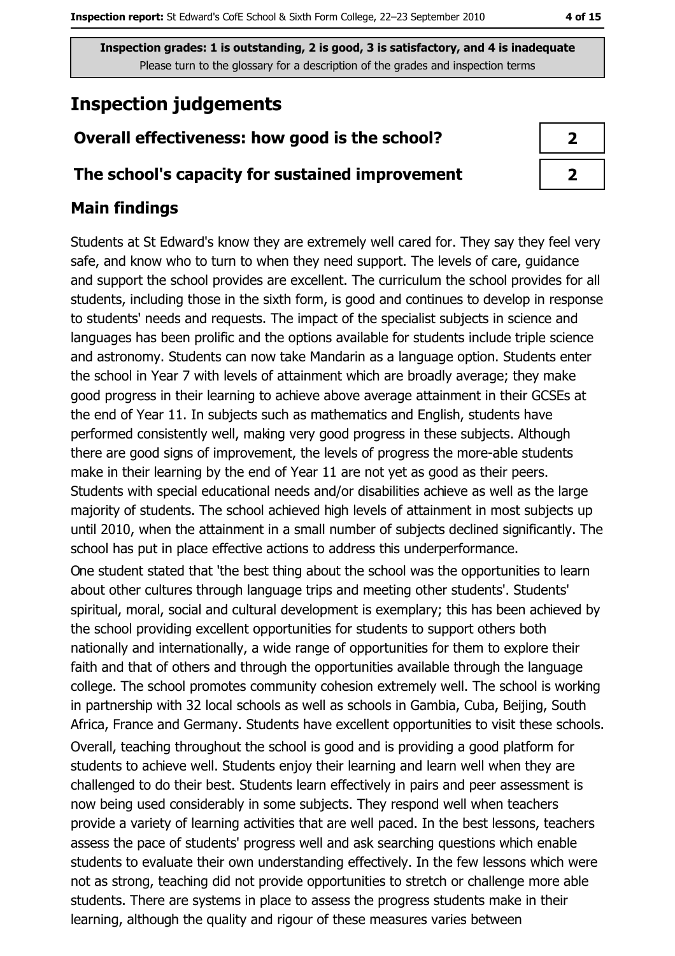# **Inspection judgements**

## Overall effectiveness: how good is the school?

#### The school's capacity for sustained improvement

## **Main findings**

Students at St Edward's know they are extremely well cared for. They say they feel very safe, and know who to turn to when they need support. The levels of care, guidance and support the school provides are excellent. The curriculum the school provides for all students, including those in the sixth form, is good and continues to develop in response to students' needs and requests. The impact of the specialist subjects in science and languages has been prolific and the options available for students include triple science and astronomy. Students can now take Mandarin as a language option. Students enter the school in Year 7 with levels of attainment which are broadly average; they make good progress in their learning to achieve above average attainment in their GCSEs at the end of Year 11. In subjects such as mathematics and English, students have performed consistently well, making very good progress in these subjects. Although there are good signs of improvement, the levels of progress the more-able students make in their learning by the end of Year 11 are not yet as good as their peers. Students with special educational needs and/or disabilities achieve as well as the large majority of students. The school achieved high levels of attainment in most subjects up until 2010, when the attainment in a small number of subjects declined significantly. The school has put in place effective actions to address this underperformance.

One student stated that 'the best thing about the school was the opportunities to learn about other cultures through language trips and meeting other students'. Students' spiritual, moral, social and cultural development is exemplary; this has been achieved by the school providing excellent opportunities for students to support others both nationally and internationally, a wide range of opportunities for them to explore their faith and that of others and through the opportunities available through the language college. The school promotes community cohesion extremely well. The school is working in partnership with 32 local schools as well as schools in Gambia, Cuba, Beijing, South Africa, France and Germany. Students have excellent opportunities to visit these schools. Overall, teaching throughout the school is good and is providing a good platform for students to achieve well. Students enjoy their learning and learn well when they are challenged to do their best. Students learn effectively in pairs and peer assessment is now being used considerably in some subjects. They respond well when teachers provide a variety of learning activities that are well paced. In the best lessons, teachers assess the pace of students' progress well and ask searching questions which enable students to evaluate their own understanding effectively. In the few lessons which were not as strong, teaching did not provide opportunities to stretch or challenge more able students. There are systems in place to assess the progress students make in their learning, although the quality and rigour of these measures varies between

| J |
|---|
| 7 |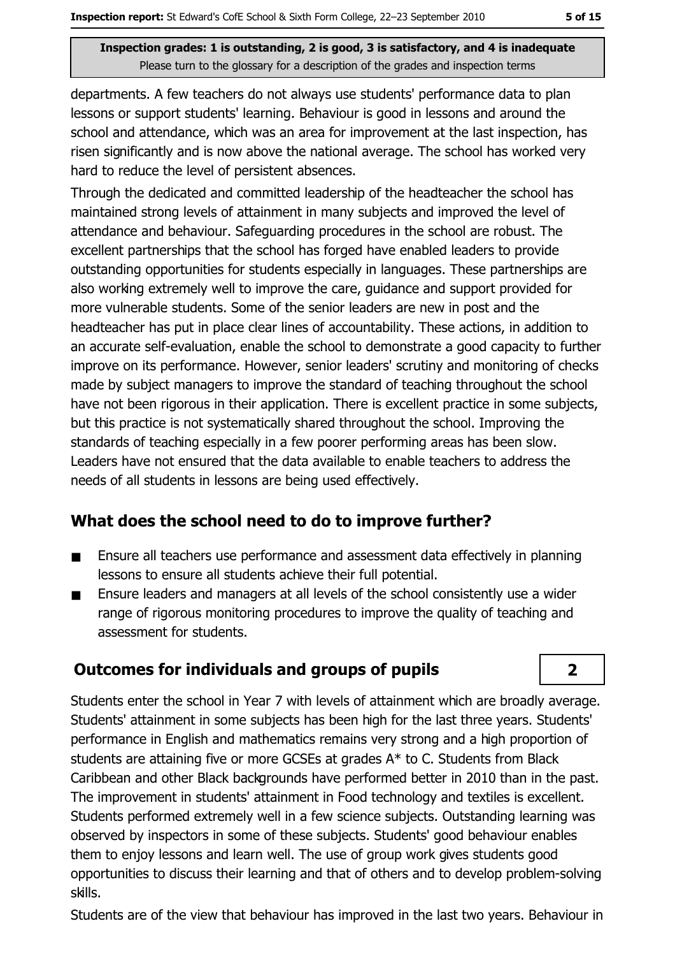departments. A few teachers do not always use students' performance data to plan lessons or support students' learning. Behaviour is good in lessons and around the school and attendance, which was an area for improvement at the last inspection, has risen significantly and is now above the national average. The school has worked very hard to reduce the level of persistent absences.

Through the dedicated and committed leadership of the headteacher the school has maintained strong levels of attainment in many subjects and improved the level of attendance and behaviour. Safeguarding procedures in the school are robust. The excellent partnerships that the school has forged have enabled leaders to provide outstanding opportunities for students especially in languages. These partnerships are also working extremely well to improve the care, guidance and support provided for more vulnerable students. Some of the senior leaders are new in post and the headteacher has put in place clear lines of accountability. These actions, in addition to an accurate self-evaluation, enable the school to demonstrate a good capacity to further improve on its performance. However, senior leaders' scrutiny and monitoring of checks made by subject managers to improve the standard of teaching throughout the school have not been rigorous in their application. There is excellent practice in some subjects, but this practice is not systematically shared throughout the school. Improving the standards of teaching especially in a few poorer performing areas has been slow. Leaders have not ensured that the data available to enable teachers to address the needs of all students in lessons are being used effectively.

## What does the school need to do to improve further?

- Ensure all teachers use performance and assessment data effectively in planning  $\blacksquare$ lessons to ensure all students achieve their full potential.
- Ensure leaders and managers at all levels of the school consistently use a wider  $\blacksquare$ range of rigorous monitoring procedures to improve the quality of teaching and assessment for students.

## **Outcomes for individuals and groups of pupils**

Students enter the school in Year 7 with levels of attainment which are broadly average. Students' attainment in some subjects has been high for the last three years. Students' performance in English and mathematics remains very strong and a high proportion of students are attaining five or more GCSEs at grades A\* to C. Students from Black Caribbean and other Black backgrounds have performed better in 2010 than in the past. The improvement in students' attainment in Food technology and textiles is excellent. Students performed extremely well in a few science subjects. Outstanding learning was observed by inspectors in some of these subjects. Students' good behaviour enables them to enjoy lessons and learn well. The use of group work gives students good opportunities to discuss their learning and that of others and to develop problem-solving skills.

#### Students are of the view that behaviour has improved in the last two years. Behaviour in

## $\overline{2}$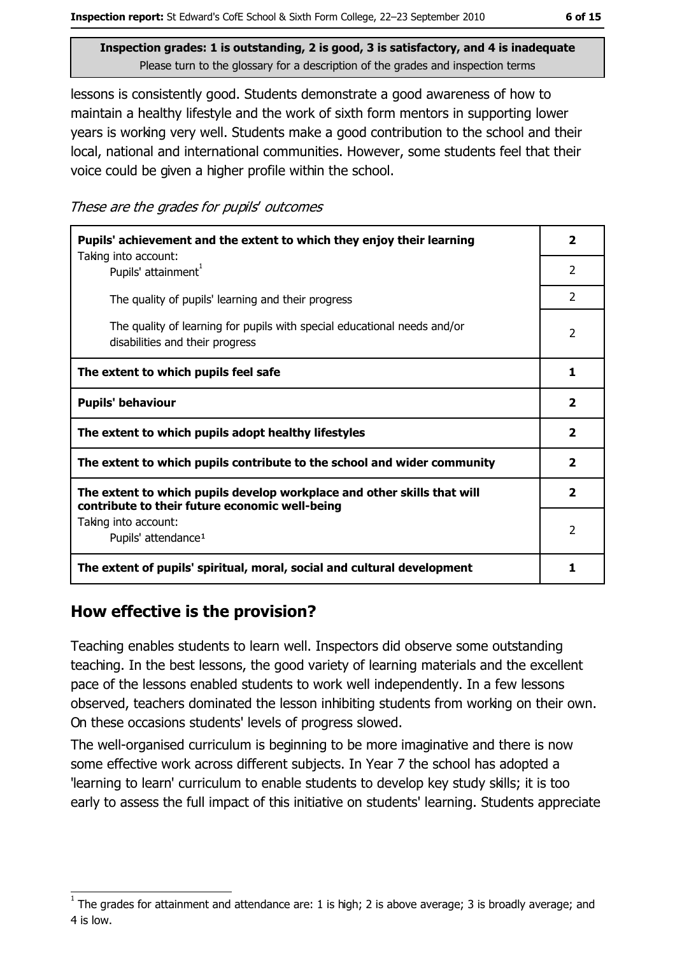lessons is consistently good. Students demonstrate a good awareness of how to maintain a healthy lifestyle and the work of sixth form mentors in supporting lower years is working very well. Students make a good contribution to the school and their local, national and international communities. However, some students feel that their voice could be given a higher profile within the school.

These are the grades for pupils' outcomes

| Pupils' achievement and the extent to which they enjoy their learning                                                     |                          |
|---------------------------------------------------------------------------------------------------------------------------|--------------------------|
| Taking into account:<br>Pupils' attainment <sup>1</sup>                                                                   | $\overline{2}$           |
| The quality of pupils' learning and their progress                                                                        | $\mathcal{P}$            |
| The quality of learning for pupils with special educational needs and/or<br>disabilities and their progress               | $\overline{\phantom{a}}$ |
| The extent to which pupils feel safe                                                                                      | 1                        |
| <b>Pupils' behaviour</b>                                                                                                  | 2                        |
| The extent to which pupils adopt healthy lifestyles                                                                       | $\mathbf{z}$             |
| The extent to which pupils contribute to the school and wider community                                                   |                          |
| The extent to which pupils develop workplace and other skills that will<br>contribute to their future economic well-being | $\mathbf{2}$             |
| Taking into account:<br>Pupils' attendance <sup>1</sup>                                                                   |                          |
| The extent of pupils' spiritual, moral, social and cultural development                                                   |                          |

## How effective is the provision?

Teaching enables students to learn well. Inspectors did observe some outstanding teaching. In the best lessons, the good variety of learning materials and the excellent pace of the lessons enabled students to work well independently. In a few lessons observed, teachers dominated the lesson inhibiting students from working on their own. On these occasions students' levels of progress slowed.

The well-organised curriculum is beginning to be more imaginative and there is now some effective work across different subjects. In Year 7 the school has adopted a 'learning to learn' curriculum to enable students to develop key study skills; it is too early to assess the full impact of this initiative on students' learning. Students appreciate

The grades for attainment and attendance are: 1 is high; 2 is above average; 3 is broadly average; and 4 is low.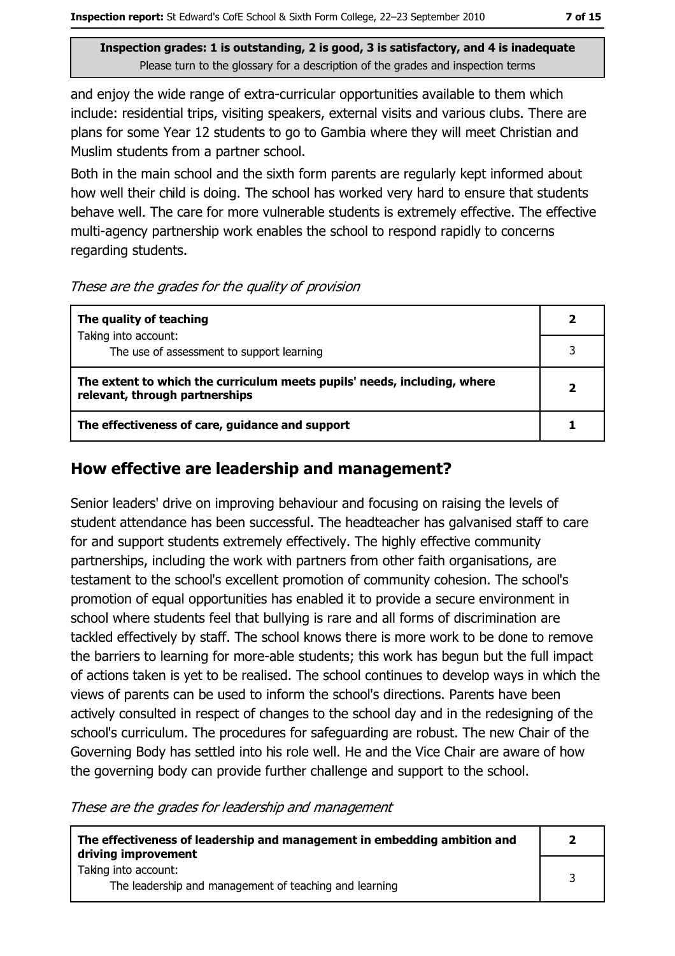and enjoy the wide range of extra-curricular opportunities available to them which include: residential trips, visiting speakers, external visits and various clubs. There are plans for some Year 12 students to go to Gambia where they will meet Christian and Muslim students from a partner school.

Both in the main school and the sixth form parents are regularly kept informed about how well their child is doing. The school has worked very hard to ensure that students behave well. The care for more vulnerable students is extremely effective. The effective multi-agency partnership work enables the school to respond rapidly to concerns regarding students.

#### These are the grades for the quality of provision

| The quality of teaching                                                                                    |  |
|------------------------------------------------------------------------------------------------------------|--|
| Taking into account:<br>The use of assessment to support learning                                          |  |
|                                                                                                            |  |
| The extent to which the curriculum meets pupils' needs, including, where<br>relevant, through partnerships |  |
| The effectiveness of care, guidance and support                                                            |  |

#### How effective are leadership and management?

Senior leaders' drive on improving behaviour and focusing on raising the levels of student attendance has been successful. The headteacher has galvanised staff to care for and support students extremely effectively. The highly effective community partnerships, including the work with partners from other faith organisations, are testament to the school's excellent promotion of community cohesion. The school's promotion of equal opportunities has enabled it to provide a secure environment in school where students feel that bullying is rare and all forms of discrimination are tackled effectively by staff. The school knows there is more work to be done to remove the barriers to learning for more-able students; this work has begun but the full impact of actions taken is yet to be realised. The school continues to develop ways in which the views of parents can be used to inform the school's directions. Parents have been actively consulted in respect of changes to the school day and in the redesigning of the school's curriculum. The procedures for safeguarding are robust. The new Chair of the Governing Body has settled into his role well. He and the Vice Chair are aware of how the governing body can provide further challenge and support to the school.

These are the grades for leadership and management

| The effectiveness of leadership and management in embedding ambition and<br>driving improvement |  |
|-------------------------------------------------------------------------------------------------|--|
| Taking into account:<br>The leadership and management of teaching and learning                  |  |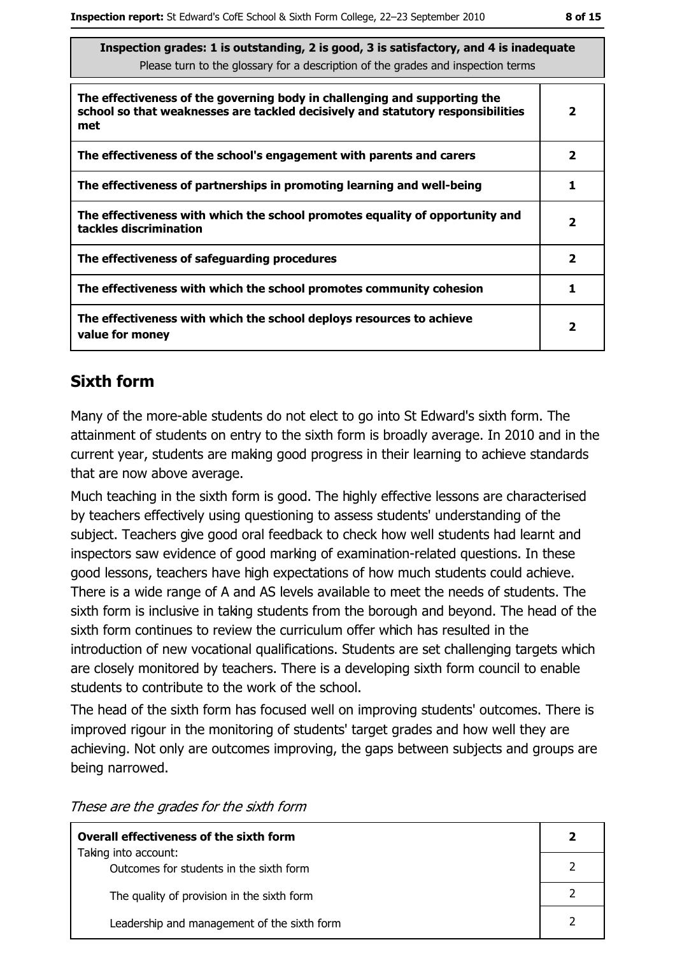| Inspection grades: 1 is outstanding, 2 is good, 3 is satisfactory, and 4 is inadequate |
|----------------------------------------------------------------------------------------|
| Please turn to the glossary for a description of the grades and inspection terms       |

| The effectiveness of the governing body in challenging and supporting the<br>school so that weaknesses are tackled decisively and statutory responsibilities<br>met | $\overline{2}$          |
|---------------------------------------------------------------------------------------------------------------------------------------------------------------------|-------------------------|
| The effectiveness of the school's engagement with parents and carers                                                                                                | $\overline{\mathbf{2}}$ |
| The effectiveness of partnerships in promoting learning and well-being                                                                                              |                         |
| The effectiveness with which the school promotes equality of opportunity and<br>tackles discrimination                                                              | 2                       |
| The effectiveness of safeguarding procedures                                                                                                                        | 2                       |
| The effectiveness with which the school promotes community cohesion                                                                                                 |                         |
| The effectiveness with which the school deploys resources to achieve<br>value for money                                                                             | 2                       |

## **Sixth form**

Many of the more-able students do not elect to go into St Edward's sixth form. The attainment of students on entry to the sixth form is broadly average. In 2010 and in the current year, students are making good progress in their learning to achieve standards that are now above average.

Much teaching in the sixth form is good. The highly effective lessons are characterised by teachers effectively using questioning to assess students' understanding of the subject. Teachers give good oral feedback to check how well students had learnt and inspectors saw evidence of good marking of examination-related questions. In these good lessons, teachers have high expectations of how much students could achieve. There is a wide range of A and AS levels available to meet the needs of students. The sixth form is inclusive in taking students from the borough and beyond. The head of the sixth form continues to review the curriculum offer which has resulted in the introduction of new vocational qualifications. Students are set challenging targets which are closely monitored by teachers. There is a developing sixth form council to enable students to contribute to the work of the school.

The head of the sixth form has focused well on improving students' outcomes. There is improved rigour in the monitoring of students' target grades and how well they are achieving. Not only are outcomes improving, the gaps between subjects and groups are being narrowed.

| Overall effectiveness of the sixth form                         |  |
|-----------------------------------------------------------------|--|
| Taking into account:<br>Outcomes for students in the sixth form |  |
| The quality of provision in the sixth form                      |  |
| Leadership and management of the sixth form                     |  |

These are the grades for the sixth form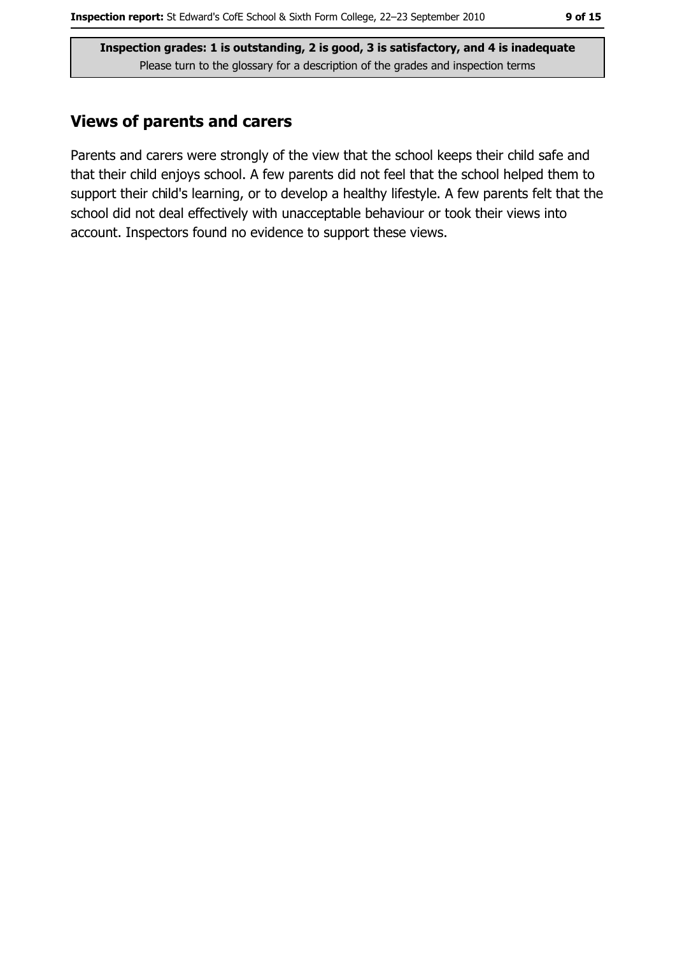#### **Views of parents and carers**

Parents and carers were strongly of the view that the school keeps their child safe and that their child enjoys school. A few parents did not feel that the school helped them to support their child's learning, or to develop a healthy lifestyle. A few parents felt that the school did not deal effectively with unacceptable behaviour or took their views into account. Inspectors found no evidence to support these views.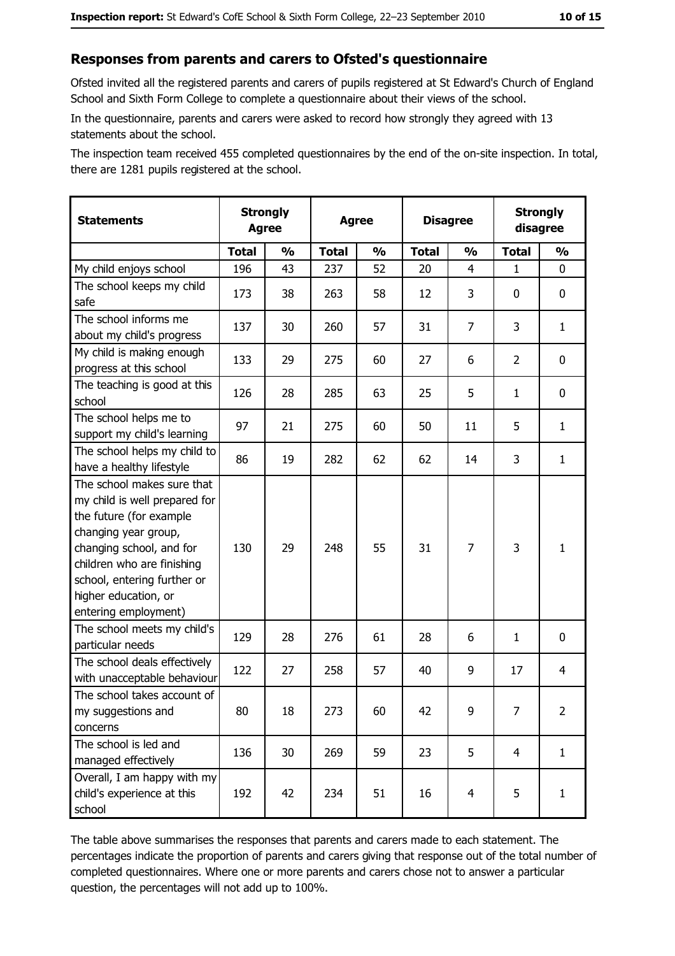#### Responses from parents and carers to Ofsted's questionnaire

Ofsted invited all the registered parents and carers of pupils registered at St Edward's Church of England School and Sixth Form College to complete a questionnaire about their views of the school.

In the questionnaire, parents and carers were asked to record how strongly they agreed with 13 statements about the school.

The inspection team received 455 completed questionnaires by the end of the on-site inspection. In total, there are 1281 pupils registered at the school.

| <b>Statements</b>                                                                                                                                                                                                                                       | <b>Strongly</b><br><b>Agree</b> |               | <b>Agree</b> | <b>Strongly</b><br><b>Disagree</b><br>disagree |              |                |                |                |
|---------------------------------------------------------------------------------------------------------------------------------------------------------------------------------------------------------------------------------------------------------|---------------------------------|---------------|--------------|------------------------------------------------|--------------|----------------|----------------|----------------|
|                                                                                                                                                                                                                                                         | <b>Total</b>                    | $\frac{1}{2}$ | <b>Total</b> | $\frac{1}{2}$                                  | <b>Total</b> | $\frac{1}{2}$  | <b>Total</b>   | $\frac{1}{2}$  |
| My child enjoys school                                                                                                                                                                                                                                  | 196                             | 43            | 237          | 52                                             | 20           | 4              | $\mathbf{1}$   | $\mathbf 0$    |
| The school keeps my child<br>safe                                                                                                                                                                                                                       | 173                             | 38            | 263          | 58                                             | 12           | 3              | 0              | $\mathbf 0$    |
| The school informs me<br>about my child's progress                                                                                                                                                                                                      | 137                             | 30            | 260          | 57                                             | 31           | 7              | 3              | $\mathbf{1}$   |
| My child is making enough<br>progress at this school                                                                                                                                                                                                    | 133                             | 29            | 275          | 60                                             | 27           | 6              | $\overline{2}$ | 0              |
| The teaching is good at this<br>school                                                                                                                                                                                                                  | 126                             | 28            | 285          | 63                                             | 25           | 5              | $\mathbf{1}$   | 0              |
| The school helps me to<br>support my child's learning                                                                                                                                                                                                   | 97                              | 21            | 275          | 60                                             | 50           | 11             | 5              | $\mathbf{1}$   |
| The school helps my child to<br>have a healthy lifestyle                                                                                                                                                                                                | 86                              | 19            | 282          | 62                                             | 62           | 14             | 3              | $\mathbf{1}$   |
| The school makes sure that<br>my child is well prepared for<br>the future (for example<br>changing year group,<br>changing school, and for<br>children who are finishing<br>school, entering further or<br>higher education, or<br>entering employment) | 130                             | 29            | 248          | 55                                             | 31           | 7              | 3              | $\mathbf{1}$   |
| The school meets my child's<br>particular needs                                                                                                                                                                                                         | 129                             | 28            | 276          | 61                                             | 28           | 6              | $\mathbf{1}$   | 0              |
| The school deals effectively<br>with unacceptable behaviour                                                                                                                                                                                             | 122                             | 27            | 258          | 57                                             | 40           | 9              | 17             | 4              |
| The school takes account of<br>my suggestions and<br>concerns                                                                                                                                                                                           | 80                              | 18            | 273          | 60                                             | 42           | 9              | 7              | $\overline{2}$ |
| The school is led and<br>managed effectively                                                                                                                                                                                                            | 136                             | 30            | 269          | 59                                             | 23           | 5              | $\overline{4}$ | $\mathbf{1}$   |
| Overall, I am happy with my<br>child's experience at this<br>school                                                                                                                                                                                     | 192                             | 42            | 234          | 51                                             | 16           | $\overline{4}$ | 5              | $\mathbf{1}$   |

The table above summarises the responses that parents and carers made to each statement. The percentages indicate the proportion of parents and carers giving that response out of the total number of completed questionnaires. Where one or more parents and carers chose not to answer a particular question, the percentages will not add up to 100%.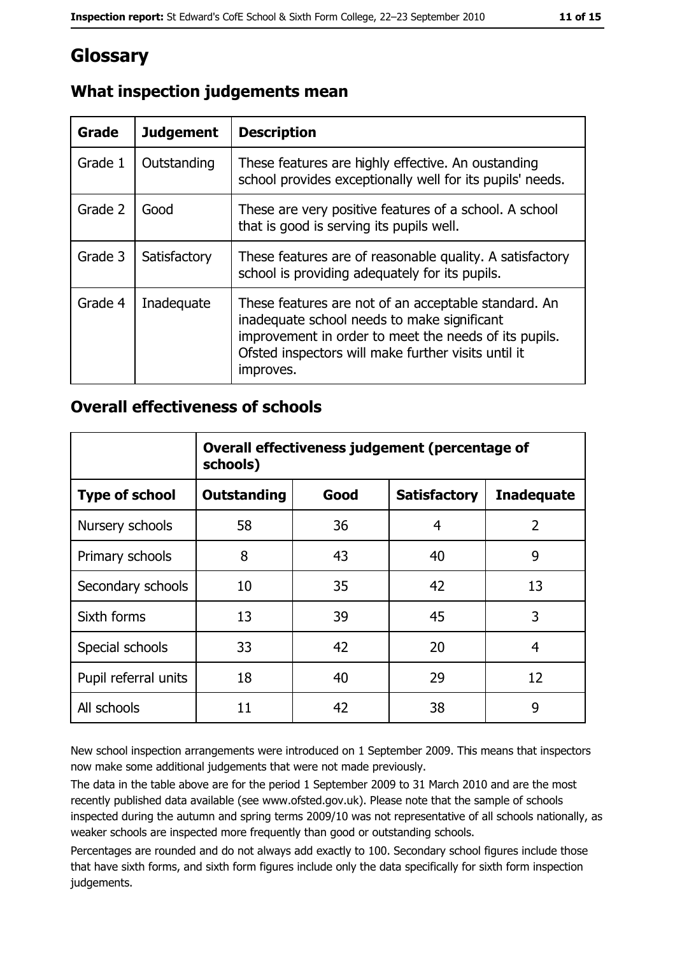# Glossary

| Grade   | <b>Judgement</b> | <b>Description</b>                                                                                                                                                                                                               |  |
|---------|------------------|----------------------------------------------------------------------------------------------------------------------------------------------------------------------------------------------------------------------------------|--|
| Grade 1 | Outstanding      | These features are highly effective. An oustanding<br>school provides exceptionally well for its pupils' needs.                                                                                                                  |  |
| Grade 2 | Good             | These are very positive features of a school. A school<br>that is good is serving its pupils well.                                                                                                                               |  |
| Grade 3 | Satisfactory     | These features are of reasonable quality. A satisfactory<br>school is providing adequately for its pupils.                                                                                                                       |  |
| Grade 4 | Inadequate       | These features are not of an acceptable standard. An<br>inadequate school needs to make significant<br>improvement in order to meet the needs of its pupils.<br>Ofsted inspectors will make further visits until it<br>improves. |  |

## What inspection judgements mean

#### **Overall effectiveness of schools**

|                       | Overall effectiveness judgement (percentage of<br>schools) |      |                     |                   |  |
|-----------------------|------------------------------------------------------------|------|---------------------|-------------------|--|
| <b>Type of school</b> | <b>Outstanding</b>                                         | Good | <b>Satisfactory</b> | <b>Inadequate</b> |  |
| Nursery schools       | 58                                                         | 36   | 4                   | $\overline{2}$    |  |
| Primary schools       | 8                                                          | 43   | 40                  | 9                 |  |
| Secondary schools     | 10                                                         | 35   | 42                  | 13                |  |
| Sixth forms           | 13                                                         | 39   | 45                  | 3                 |  |
| Special schools       | 33                                                         | 42   | 20                  | 4                 |  |
| Pupil referral units  | 18                                                         | 40   | 29                  | 12                |  |
| All schools           | 11                                                         | 42   | 38                  | 9                 |  |

New school inspection arrangements were introduced on 1 September 2009. This means that inspectors now make some additional judgements that were not made previously.

The data in the table above are for the period 1 September 2009 to 31 March 2010 and are the most recently published data available (see www.ofsted.gov.uk). Please note that the sample of schools inspected during the autumn and spring terms 2009/10 was not representative of all schools nationally, as weaker schools are inspected more frequently than good or outstanding schools.

Percentages are rounded and do not always add exactly to 100. Secondary school figures include those that have sixth forms, and sixth form figures include only the data specifically for sixth form inspection judgements.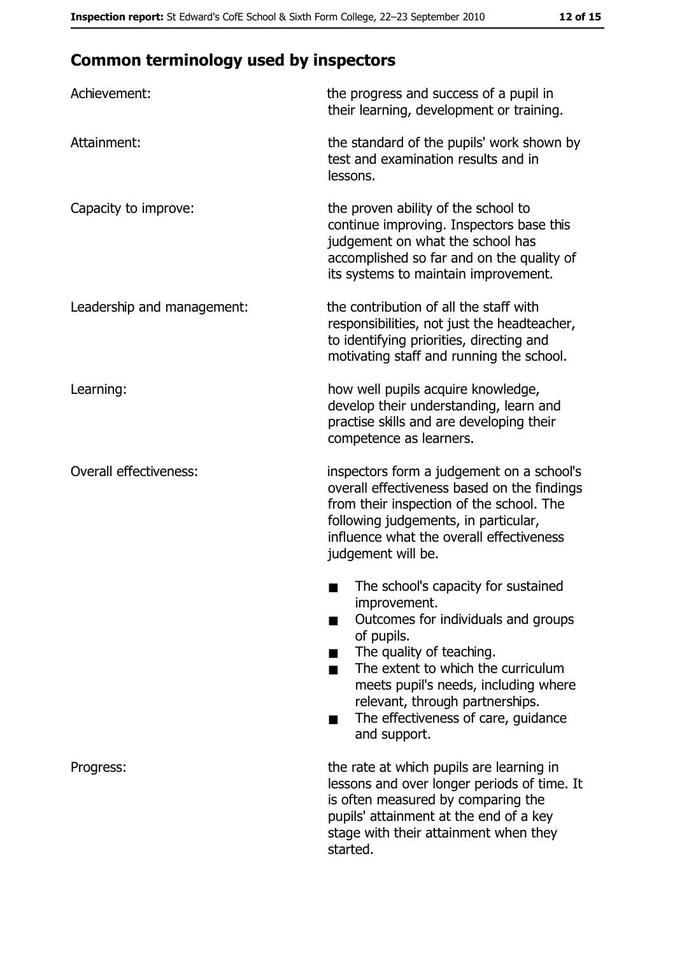# **Common terminology used by inspectors**

| Achievement:                  | the progress and success of a pupil in<br>their learning, development or training.                                                                                                                                                                                                                           |
|-------------------------------|--------------------------------------------------------------------------------------------------------------------------------------------------------------------------------------------------------------------------------------------------------------------------------------------------------------|
| Attainment:                   | the standard of the pupils' work shown by<br>test and examination results and in<br>lessons.                                                                                                                                                                                                                 |
| Capacity to improve:          | the proven ability of the school to<br>continue improving. Inspectors base this<br>judgement on what the school has<br>accomplished so far and on the quality of<br>its systems to maintain improvement.                                                                                                     |
| Leadership and management:    | the contribution of all the staff with<br>responsibilities, not just the headteacher,<br>to identifying priorities, directing and<br>motivating staff and running the school.                                                                                                                                |
| Learning:                     | how well pupils acquire knowledge,<br>develop their understanding, learn and<br>practise skills and are developing their<br>competence as learners.                                                                                                                                                          |
| <b>Overall effectiveness:</b> | inspectors form a judgement on a school's<br>overall effectiveness based on the findings<br>from their inspection of the school. The<br>following judgements, in particular,<br>influence what the overall effectiveness<br>judgement will be.                                                               |
|                               | The school's capacity for sustained<br>improvement.<br>Outcomes for individuals and groups<br>of pupils.<br>The quality of teaching.<br>The extent to which the curriculum<br>meets pupil's needs, including where<br>relevant, through partnerships.<br>The effectiveness of care, guidance<br>and support. |
| Progress:                     | the rate at which pupils are learning in<br>lessons and over longer periods of time. It<br>is often measured by comparing the<br>pupils' attainment at the end of a key<br>stage with their attainment when they<br>started.                                                                                 |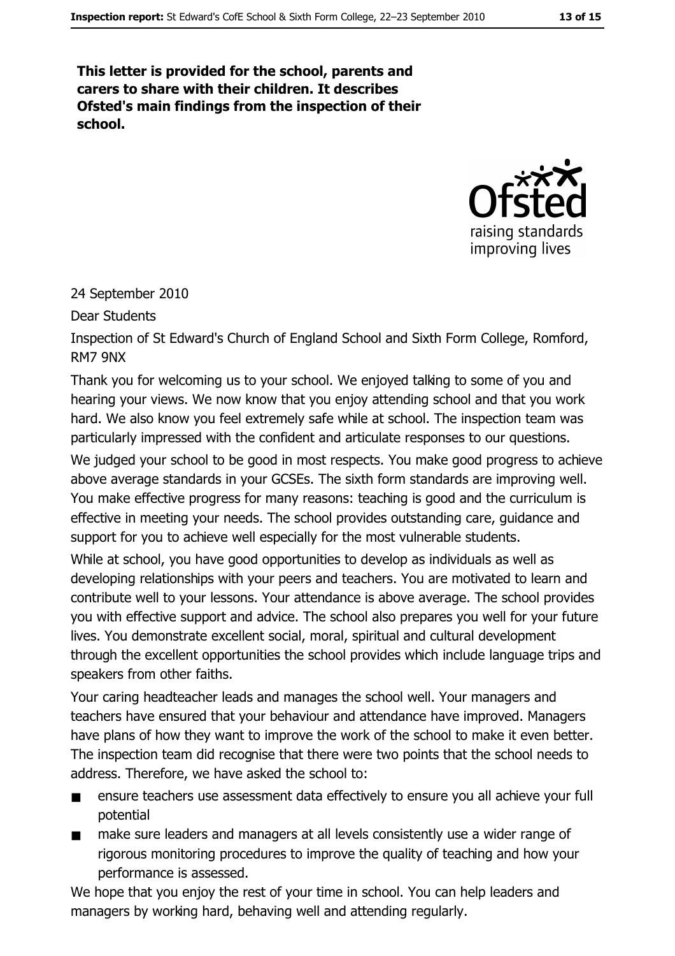This letter is provided for the school, parents and carers to share with their children. It describes Ofsted's main findings from the inspection of their school.



#### 24 September 2010

**Dear Students** 

Inspection of St Edward's Church of England School and Sixth Form College, Romford, RM7 9NX

Thank you for welcoming us to your school. We enjoved talking to some of you and hearing your views. We now know that you enjoy attending school and that you work hard. We also know you feel extremely safe while at school. The inspection team was particularly impressed with the confident and articulate responses to our questions.

We judged your school to be good in most respects. You make good progress to achieve above average standards in your GCSEs. The sixth form standards are improving well. You make effective progress for many reasons: teaching is good and the curriculum is effective in meeting your needs. The school provides outstanding care, guidance and support for you to achieve well especially for the most vulnerable students.

While at school, you have good opportunities to develop as individuals as well as developing relationships with your peers and teachers. You are motivated to learn and contribute well to your lessons. Your attendance is above average. The school provides you with effective support and advice. The school also prepares you well for your future lives. You demonstrate excellent social, moral, spiritual and cultural development through the excellent opportunities the school provides which include language trips and speakers from other faiths.

Your caring headteacher leads and manages the school well. Your managers and teachers have ensured that your behaviour and attendance have improved. Managers have plans of how they want to improve the work of the school to make it even better. The inspection team did recognise that there were two points that the school needs to address. Therefore, we have asked the school to:

- ensure teachers use assessment data effectively to ensure you all achieve your full  $\blacksquare$ potential
- make sure leaders and managers at all levels consistently use a wider range of  $\blacksquare$ rigorous monitoring procedures to improve the quality of teaching and how your performance is assessed.

We hope that you enjoy the rest of your time in school. You can help leaders and managers by working hard, behaving well and attending regularly.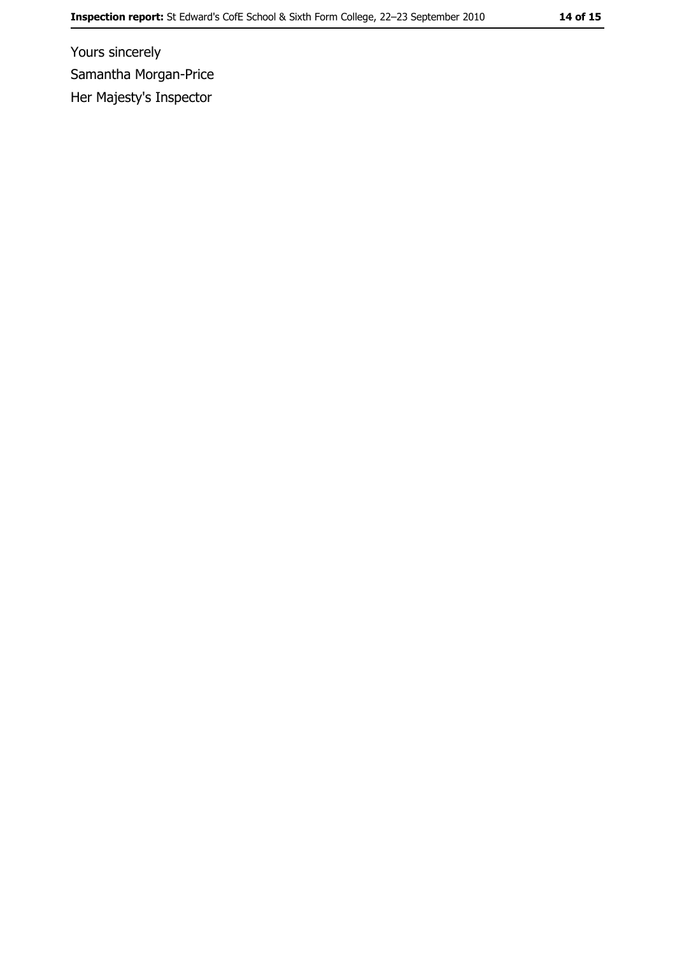Yours sincerely Samantha Morgan-Price Her Majesty's Inspector